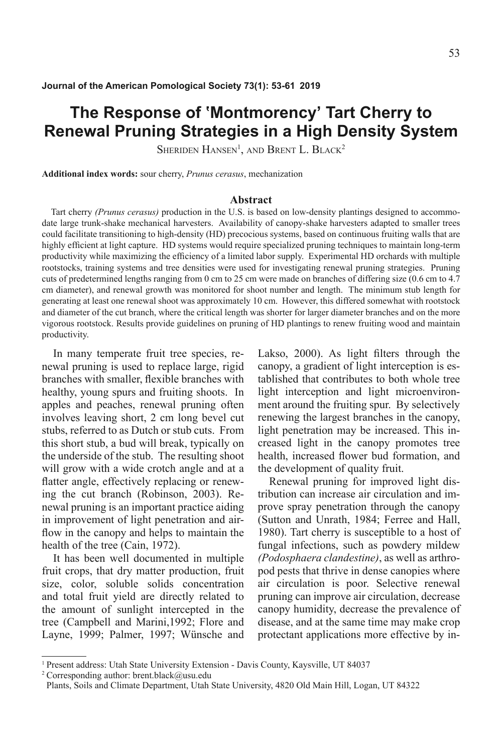# **The Response of ʽMontmorency' Tart Cherry to Renewal Pruning Strategies in a High Density System**

SHERIDEN HANSEN<sup>1</sup>, AND BRENT L. BLACK<sup>2</sup>

**Additional index words:** sour cherry, *Prunus cerasus*, mechanization

#### **Abstract**

Tart cherry *(Prunus cerasus)* production in the U.S. is based on low-density plantings designed to accommodate large trunk-shake mechanical harvesters. Availability of canopy-shake harvesters adapted to smaller trees could facilitate transitioning to high-density (HD) precocious systems, based on continuous fruiting walls that are highly efficient at light capture. HD systems would require specialized pruning techniques to maintain long-term productivity while maximizing the efficiency of a limited labor supply. Experimental HD orchards with multiple rootstocks, training systems and tree densities were used for investigating renewal pruning strategies. Pruning cuts of predetermined lengths ranging from 0 cm to 25 cm were made on branches of differing size (0.6 cm to 4.7 cm diameter), and renewal growth was monitored for shoot number and length. The minimum stub length for generating at least one renewal shoot was approximately 10 cm. However, this differed somewhat with rootstock and diameter of the cut branch, where the critical length was shorter for larger diameter branches and on the more vigorous rootstock. Results provide guidelines on pruning of HD plantings to renew fruiting wood and maintain productivity.

In many temperate fruit tree species, renewal pruning is used to replace large, rigid branches with smaller, flexible branches with healthy, young spurs and fruiting shoots. In apples and peaches, renewal pruning often involves leaving short, 2 cm long bevel cut stubs, referred to as Dutch or stub cuts. From this short stub, a bud will break, typically on the underside of the stub. The resulting shoot will grow with a wide crotch angle and at a flatter angle, effectively replacing or renewing the cut branch (Robinson, 2003). Renewal pruning is an important practice aiding in improvement of light penetration and airflow in the canopy and helps to maintain the health of the tree (Cain, 1972).

It has been well documented in multiple fruit crops, that dry matter production, fruit size, color, soluble solids concentration and total fruit yield are directly related to the amount of sunlight intercepted in the tree (Campbell and Marini,1992; Flore and Layne, 1999; Palmer, 1997; Wünsche and

Lakso, 2000). As light filters through the canopy, a gradient of light interception is established that contributes to both whole tree light interception and light microenvironment around the fruiting spur. By selectively renewing the largest branches in the canopy, light penetration may be increased. This increased light in the canopy promotes tree health, increased flower bud formation, and the development of quality fruit.

Renewal pruning for improved light distribution can increase air circulation and improve spray penetration through the canopy (Sutton and Unrath, 1984; Ferree and Hall, 1980). Tart cherry is susceptible to a host of fungal infections, such as powdery mildew *(Podosphaera clandestine)*, as well as arthropod pests that thrive in dense canopies where air circulation is poor. Selective renewal pruning can improve air circulation, decrease canopy humidity, decrease the prevalence of disease, and at the same time may make crop protectant applications more effective by in-

<sup>1</sup> Present address: Utah State University Extension - Davis County, Kaysville, UT 84037

<sup>&</sup>lt;sup>2</sup> Corresponding author: brent.black@usu.edu

Plants, Soils and Climate Department, Utah State University, 4820 Old Main Hill, Logan, UT 84322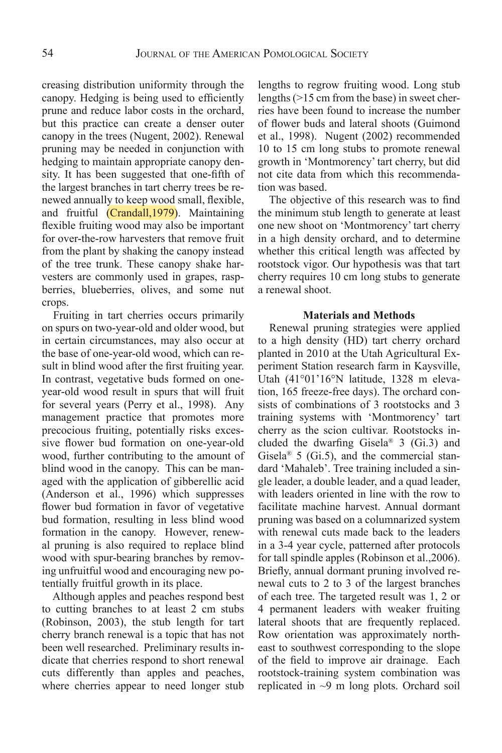creasing distribution uniformity through the canopy. Hedging is being used to efficiently prune and reduce labor costs in the orchard, but this practice can create a denser outer canopy in the trees (Nugent, 2002). Renewal pruning may be needed in conjunction with hedging to maintain appropriate canopy density. It has been suggested that one-fifth of the largest branches in tart cherry trees be renewed annually to keep wood small, flexible, and fruitful (Crandall,1979). Maintaining flexible fruiting wood may also be important for over-the-row harvesters that remove fruit from the plant by shaking the canopy instead of the tree trunk. These canopy shake harvesters are commonly used in grapes, raspberries, blueberries, olives, and some nut crops.

Fruiting in tart cherries occurs primarily on spurs on two-year-old and older wood, but in certain circumstances, may also occur at the base of one-year-old wood, which can result in blind wood after the first fruiting year. In contrast, vegetative buds formed on oneyear-old wood result in spurs that will fruit for several years (Perry et al., 1998). Any management practice that promotes more precocious fruiting, potentially risks excessive flower bud formation on one-year-old wood, further contributing to the amount of blind wood in the canopy. This can be managed with the application of gibberellic acid (Anderson et al., 1996) which suppresses flower bud formation in favor of vegetative bud formation, resulting in less blind wood formation in the canopy. However, renewal pruning is also required to replace blind wood with spur-bearing branches by removing unfruitful wood and encouraging new potentially fruitful growth in its place.

Although apples and peaches respond best to cutting branches to at least 2 cm stubs (Robinson, 2003), the stub length for tart cherry branch renewal is a topic that has not been well researched. Preliminary results indicate that cherries respond to short renewal cuts differently than apples and peaches, where cherries appear to need longer stub

lengths to regrow fruiting wood. Long stub lengths (>15 cm from the base) in sweet cherries have been found to increase the number of flower buds and lateral shoots (Guimond et al., 1998). Nugent (2002) recommended 10 to 15 cm long stubs to promote renewal growth in 'Montmorency' tart cherry, but did not cite data from which this recommendation was based.

The objective of this research was to find the minimum stub length to generate at least one new shoot on 'Montmorency' tart cherry in a high density orchard, and to determine whether this critical length was affected by rootstock vigor. Our hypothesis was that tart cherry requires 10 cm long stubs to generate a renewal shoot.

## **Materials and Methods**

Renewal pruning strategies were applied to a high density (HD) tart cherry orchard planted in 2010 at the Utah Agricultural Experiment Station research farm in Kaysville, Utah (41°01'16°N latitude, 1328 m elevation, 165 freeze-free days). The orchard consists of combinations of 3 rootstocks and 3 training systems with 'Montmorency' tart cherry as the scion cultivar. Rootstocks included the dwarfing Gisela<sup>®</sup> 3 (Gi.3) and Gisela<sup>®</sup> 5 (Gi.5), and the commercial standard 'Mahaleb'. Tree training included a single leader, a double leader, and a quad leader, with leaders oriented in line with the row to facilitate machine harvest. Annual dormant pruning was based on a columnarized system with renewal cuts made back to the leaders in a 3-4 year cycle, patterned after protocols for tall spindle apples (Robinson et al.,2006). Briefly, annual dormant pruning involved renewal cuts to 2 to 3 of the largest branches of each tree. The targeted result was 1, 2 or 4 permanent leaders with weaker fruiting lateral shoots that are frequently replaced. Row orientation was approximately northeast to southwest corresponding to the slope of the field to improve air drainage. Each rootstock-training system combination was replicated in ~9 m long plots. Orchard soil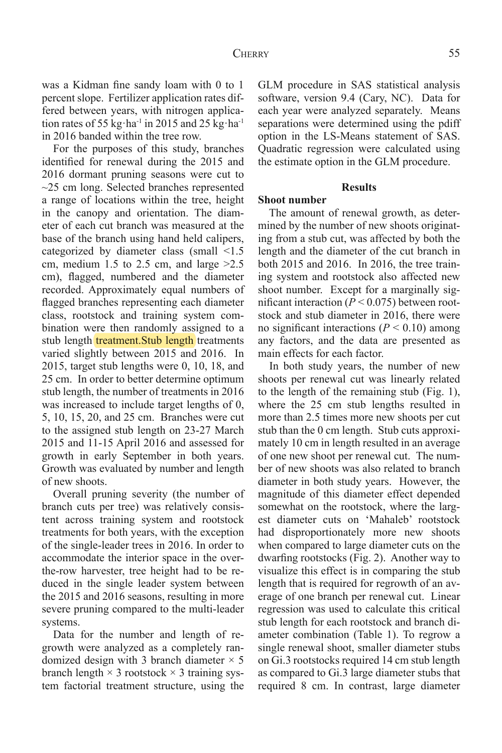was a Kidman fine sandy loam with 0 to 1 percent slope. Fertilizer application rates differed between years, with nitrogen application rates of 55 kg·ha<sup>-1</sup> in 2015 and 25 kg·ha<sup>-1</sup> in 2016 banded within the tree row.

For the purposes of this study, branches identified for renewal during the 2015 and 2016 dormant pruning seasons were cut to  $\sim$ 25 cm long. Selected branches represented a range of locations within the tree, height in the canopy and orientation. The diameter of each cut branch was measured at the base of the branch using hand held calipers, categorized by diameter class (small <1.5 cm, medium 1.5 to 2.5 cm, and large  $>2.5$ cm), flagged, numbered and the diameter recorded. Approximately equal numbers of flagged branches representing each diameter class, rootstock and training system combination were then randomly assigned to a stub length **treatment**. Stub length treatments varied slightly between 2015 and 2016. In 2015, target stub lengths were 0, 10, 18, and 25 cm. In order to better determine optimum stub length, the number of treatments in 2016 was increased to include target lengths of 0, 5, 10, 15, 20, and 25 cm. Branches were cut to the assigned stub length on 23-27 March 2015 and 11-15 April 2016 and assessed for growth in early September in both years. Growth was evaluated by number and length of new shoots.

Overall pruning severity (the number of branch cuts per tree) was relatively consistent across training system and rootstock treatments for both years, with the exception of the single-leader trees in 2016. In order to accommodate the interior space in the overthe-row harvester, tree height had to be reduced in the single leader system between the 2015 and 2016 seasons, resulting in more severe pruning compared to the multi-leader systems.

Data for the number and length of regrowth were analyzed as a completely randomized design with 3 branch diameter  $\times$  5 branch length  $\times$  3 rootstock  $\times$  3 training system factorial treatment structure, using the GLM procedure in SAS statistical analysis software, version 9.4 (Cary, NC). Data for each year were analyzed separately. Means separations were determined using the pdiff option in the LS-Means statement of SAS. Quadratic regression were calculated using the estimate option in the GLM procedure.

## **Results**

#### **Shoot number**

The amount of renewal growth, as determined by the number of new shoots originating from a stub cut, was affected by both the length and the diameter of the cut branch in both 2015 and 2016. In 2016, the tree training system and rootstock also affected new shoot number. Except for a marginally significant interaction  $(P < 0.075)$  between rootstock and stub diameter in 2016, there were no significant interactions ( $P \le 0.10$ ) among any factors, and the data are presented as main effects for each factor.

In both study years, the number of new shoots per renewal cut was linearly related to the length of the remaining stub (Fig. 1), where the 25 cm stub lengths resulted in more than 2.5 times more new shoots per cut stub than the 0 cm length. Stub cuts approximately 10 cm in length resulted in an average of one new shoot per renewal cut. The number of new shoots was also related to branch diameter in both study years. However, the magnitude of this diameter effect depended somewhat on the rootstock, where the largest diameter cuts on 'Mahaleb' rootstock had disproportionately more new shoots when compared to large diameter cuts on the dwarfing rootstocks (Fig. 2). Another way to visualize this effect is in comparing the stub length that is required for regrowth of an average of one branch per renewal cut. Linear regression was used to calculate this critical stub length for each rootstock and branch diameter combination (Table 1). To regrow a single renewal shoot, smaller diameter stubs on Gi.3 rootstocks required 14 cm stub length as compared to Gi.3 large diameter stubs that required 8 cm. In contrast, large diameter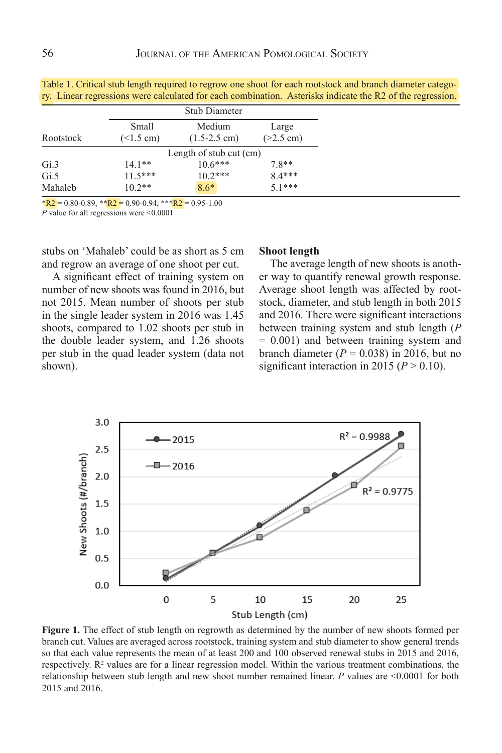|           | <b>Stub Diameter</b>      |                                  |                      |
|-----------|---------------------------|----------------------------------|----------------------|
| Rootstock | Small<br>$($ < 1.5 cm)    | Medium<br>$(1.5-2.5 \text{ cm})$ | Large<br>$(>2.5$ cm) |
|           | Length of stub cut $(cm)$ |                                  |                      |
| Gi.3      | $14.1**$                  | $10.6***$                        | $78**$               |
| Gi.5      | $11.5***$                 | $10.2***$                        | $8.4***$             |
| Mahaleb   | $10.2**$                  | $8.6*$                           | $51***$              |

Table 1. Critical stub length required to regrow one shoot for each rootstock and branch diameter category. Linear regressions were calculated for each combination. Asterisks indicate the R2 of the regression.

 $*R2 = 0.80 - 0.89$ ,  $*R2 = 0.90 - 0.94$ ,  $*R2 = 0.95 - 1.00$ *P* value for all regressions were <0.0001

stubs on 'Mahaleb' could be as short as 5 cm and regrow an average of one shoot per cut.

A significant effect of training system on number of new shoots was found in 2016, but not 2015. Mean number of shoots per stub in the single leader system in 2016 was 1.45 shoots, compared to 1.02 shoots per stub in the double leader system, and 1.26 shoots per stub in the quad leader system (data not shown). shown). Shown a state of the state of the state of the state of the state of the state of the state of the state of the state of the state of the state of the state of the state of the state of the state of the state of th

## **Shoot length**

The average length of new shoots is another way to quantify renewal growth response. Average shoot length was affected by rootstock, diameter, and stub length in both 2015 and 2016. There were significant interactions between training system and stub length (*P* = 0.001) and between training system and branch diameter  $(P = 0.038)$  in 2016, but no significant interaction in 2015 ( $P > 0.10$ ).



**Figure 1.** The effect of stub length on regrowth as determined by the number of new shoots formed per branch cut. Values are averaged across rootstock, training system and stub diameter to show general trends so that each value represents the mean of at least 200 and 100 observed renewal stubs in 2015 and 2016, respectively.  $\mathbb{R}^2$  values are for a linear regression model. Within the various treatment combinations, the relationship between stub length and new shoot number remained linear. *P* values are <0.0001 for both 2015 and 2016.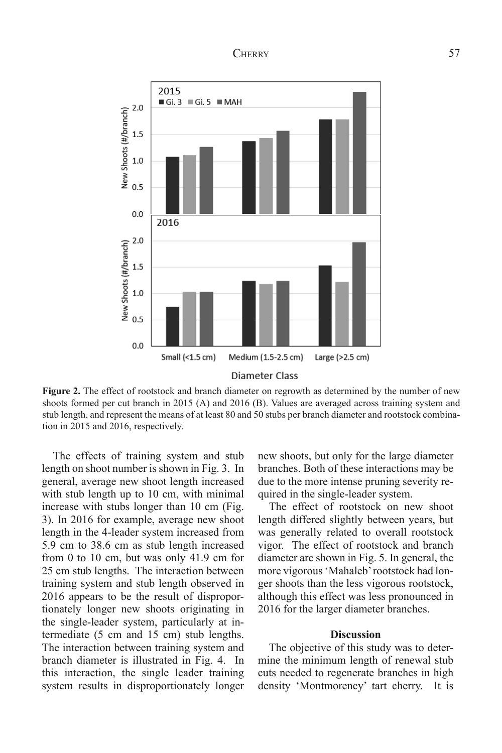## CHERRY 57



**Figure 2.** The effect of rootstock and branch diameter on regrowth as determined by the number of new stub length, and represent the means of at least 80 and 50 stubs per branch diameter and rootstock combina- $3041$  of new shoots for new shoots for  $\alpha$  and 2015 (B). Values are averaged across training across training across training across training across training across training across training across training across trainin shoots formed per cut branch in 2015 (A) and 2016 (B). Values are averaged across training system and tion in 2015 and 2016, respectively.

The effects of training system and stub new shoots, but only for the large diamet general, average new shoot length increased due to increase with stubs longer than 10 cm (Fig. 3). In 2016 for example, average new shoot 5.9 cm to 38.6 cm as stub length increased length on shoot number is shown in Fig. 3. In with stub length up to 10 cm, with minimal length in the 4-leader system increased from from 0 to 10 cm, but was only 41.9 cm for 25 cm stub lengths. The interaction between training system and stub length observed in 2016 appears to be the result of disproportionately longer new shoots originating in the single-leader system, particularly at intermediate (5 cm and 15 cm) stub lengths. The interaction between training system and branch diameter is illustrated in Fig. 4. In this interaction, the single leader training system results in disproportionately longer

new shoots, but only for the large diameter branches. Both of these interactions may be due to the more intense pruning severity required in the single-leader system.

The effect of rootstock on new shoot length differed slightly between years, but was generally related to overall rootstock vigor. The effect of rootstock and branch diameter are shown in Fig. 5. In general, the more vigorous 'Mahaleb' rootstock had longer shoots than the less vigorous rootstock, although this effect was less pronounced in 2016 for the larger diameter branches.

## **Discussion**

The objective of this study was to determine the minimum length of renewal stub cuts needed to regenerate branches in high density 'Montmorency' tart cherry. It is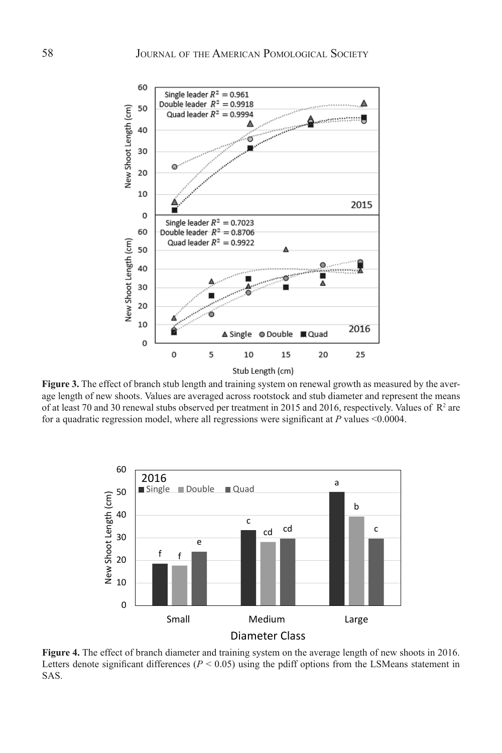

for a quadratic regression model, where all regressions were significant at  $P$  values  $\leq 0.0004$ . **Figure 3.** The effect of branch stub length and training system on renewal growth as measured by the average length of new shoots. Values are averaged across rootstock and stub diameter and represent the means of at least 70 and 30 renewal stubs observed per treatment in 2015 and 2016, respectively. Values of  $\mathbb{R}^2$  are



**Figure 4.** The effect of branch diameter and training system on the average length of new shoots in 2016. Letters denote significant differences ( $P < 0.05$ ) using the pdiff options from the LSMeans statement in SAS.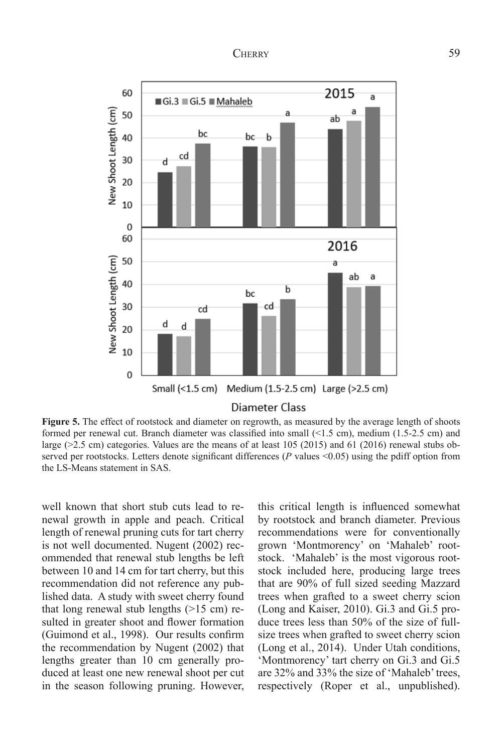

#### Diameter Class

**Figure 5.** The effect of rootstock and diameter on regrowth, as measured by the average length of shoots formed per renewal cut. Branch diameter was classified into small  $($ <1.5 cm), medium (1.5-2.5 cm) and large (>2.5 cm) categories. Values are the means of at least 105 (2015) and 61 (2016) renewal stubs observed per rootstocks. Letters denote significant differences ( $P$  values <0.05) using the pdiff option from the LS-Means statement in SAS.

well known that short stub cuts lead to renewal growth in apple and peach. Critical by rootstock and branch diameter. Previou length of renewal pruning cuts for tart cherry is not well documented. Nugent (2002) rec-<br>
33 not well documented. Nugent (2002) rec-<br>
33 cm 
25 cm 
35 cm 
35 cm 
35 cm 
35 cm 
35 cm 
35 cm 
35 cm 
35 cm 
35 cm 
35 cm 
35 cm 
35 cm 
35 cm 
35 cm 
35 cm 
35 cm 
35 cm 
3 ommended that renewal stub lengths be left stock. 'Mahaleb' is the most vigorous rootstock. between 10 and 14 cm for tart cherry, but this recommendation did not reference any pub- that are 90 lished data. A study with sweet cherry found that long renewal stub lengths  $(>15$  cm) resulted in greater shoot and flower formation (Guimond et al., 1998). Our results confirm the recommendation by Nugent (2002) that lengths greater than 10 cm generally produced at least one new renewal shoot per cut in the season following pruning. However,

this critical length is influenced somewhat by rootstock and branch diameter. Previous recommendations were for conventionally grown 'Montmorency' on 'Mahaleb' rootstock. 'Mahaleb' is the most vigorous rootstock included here, producing large trees that are 90% of full sized seeding Mazzard trees when grafted to a sweet cherry scion (Long and Kaiser, 2010). Gi.3 and Gi.5 produce trees less than 50% of the size of fullsize trees when grafted to sweet cherry scion (Long et al., 2014). Under Utah conditions, 'Montmorency' tart cherry on Gi.3 and Gi.5 are 32% and 33% the size of 'Mahaleb' trees, respectively (Roper et al., unpublished).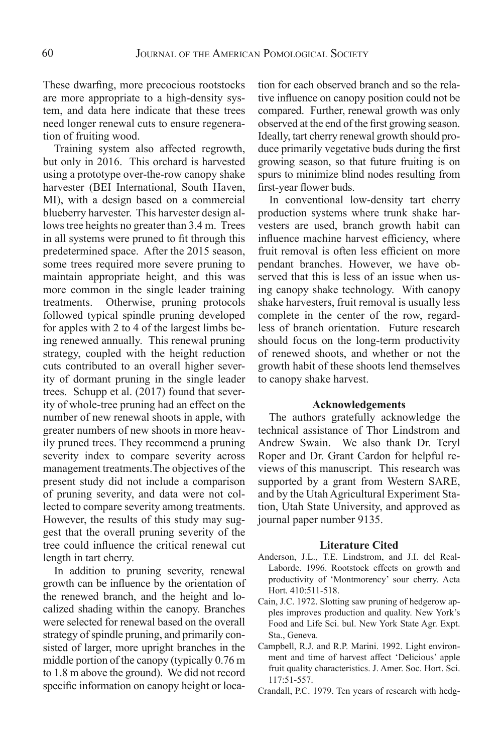These dwarfing, more precocious rootstocks are more appropriate to a high-density system, and data here indicate that these trees need longer renewal cuts to ensure regeneration of fruiting wood.

Training system also affected regrowth, but only in 2016. This orchard is harvested using a prototype over-the-row canopy shake harvester (BEI International, South Haven, MI), with a design based on a commercial blueberry harvester. This harvester design allows tree heights no greater than 3.4 m. Trees in all systems were pruned to fit through this predetermined space. After the 2015 season, some trees required more severe pruning to maintain appropriate height, and this was more common in the single leader training treatments. Otherwise, pruning protocols followed typical spindle pruning developed for apples with 2 to 4 of the largest limbs being renewed annually. This renewal pruning strategy, coupled with the height reduction cuts contributed to an overall higher severity of dormant pruning in the single leader trees. Schupp et al. (2017) found that severity of whole-tree pruning had an effect on the number of new renewal shoots in apple, with greater numbers of new shoots in more heavily pruned trees. They recommend a pruning severity index to compare severity across management treatments.The objectives of the present study did not include a comparison of pruning severity, and data were not collected to compare severity among treatments. However, the results of this study may suggest that the overall pruning severity of the tree could influence the critical renewal cut length in tart cherry.

In addition to pruning severity, renewal growth can be influence by the orientation of the renewed branch, and the height and localized shading within the canopy. Branches were selected for renewal based on the overall strategy of spindle pruning, and primarily consisted of larger, more upright branches in the middle portion of the canopy (typically 0.76 m to 1.8 m above the ground). We did not record specific information on canopy height or location for each observed branch and so the relative influence on canopy position could not be compared. Further, renewal growth was only observed at the end of the first growing season. Ideally, tart cherry renewal growth should produce primarily vegetative buds during the first growing season, so that future fruiting is on spurs to minimize blind nodes resulting from first-year flower buds.

In conventional low-density tart cherry production systems where trunk shake harvesters are used, branch growth habit can influence machine harvest efficiency, where fruit removal is often less efficient on more pendant branches. However, we have observed that this is less of an issue when using canopy shake technology. With canopy shake harvesters, fruit removal is usually less complete in the center of the row, regardless of branch orientation. Future research should focus on the long-term productivity of renewed shoots, and whether or not the growth habit of these shoots lend themselves to canopy shake harvest.

### **Acknowledgements**

The authors gratefully acknowledge the technical assistance of Thor Lindstrom and Andrew Swain. We also thank Dr. Teryl Roper and Dr. Grant Cardon for helpful reviews of this manuscript. This research was supported by a grant from Western SARE, and by the Utah Agricultural Experiment Station, Utah State University, and approved as journal paper number 9135.

#### **Literature Cited**

- Anderson, J.L., T.E. Lindstrom, and J.I. del Real-Laborde. 1996. Rootstock effects on growth and productivity of 'Montmorency' sour cherry. Acta Hort. 410:511-518.
- Cain, J.C. 1972. Slotting saw pruning of hedgerow apples improves production and quality. New York's Food and Life Sci. bul. New York State Agr. Expt. Sta., Geneva.
- Campbell, R.J. and R.P. Marini. 1992. Light environment and time of harvest affect 'Delicious' apple fruit quality characteristics. J. Amer. Soc. Hort. Sci. 117:51-557.
- Crandall, P.C. 1979. Ten years of research with hedg-